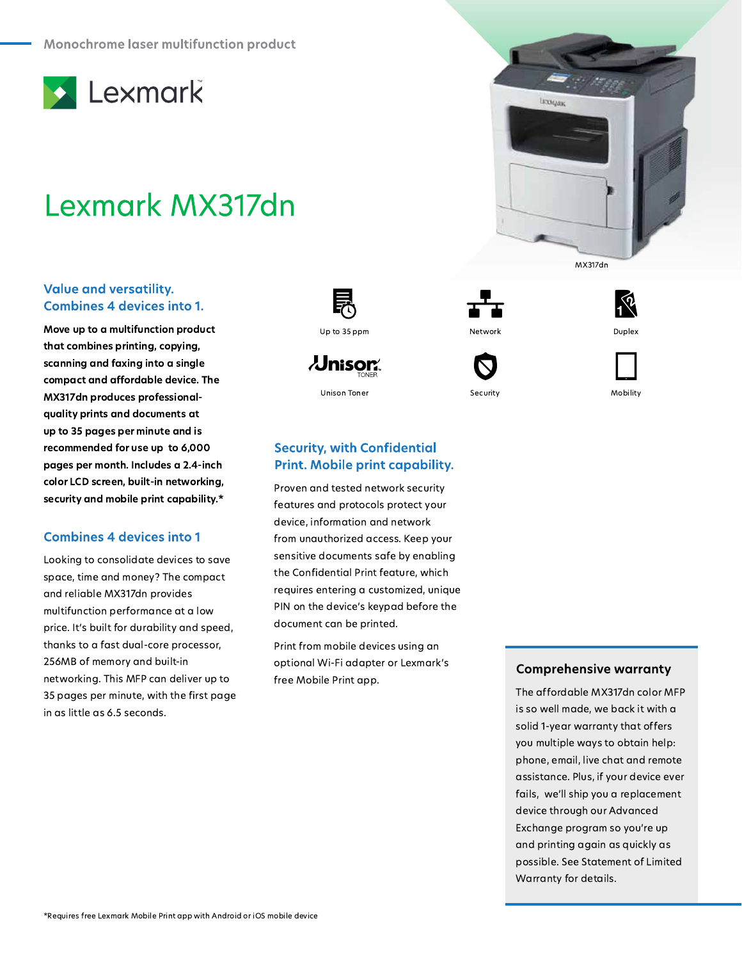

# Lexmark MX317dn

### **Value and versatility. Combines 4 devices into 1.**

Move up to a multifunction product that combines printing, copying, scanning and faxing into a single compact and affordable device. The MX317dn produces professionalquality prints and documents at up to 35 pages per minute and is recommended for use up to 6,000 pages per month. Includes a 2.4-inch color LCD screen, built-in networking, security and mobile print capability.\*

### **Combines 4 devices into 1**

Looking to consolidate devices to save space, time and money? The compact and reliable MX317dn provides multifunction performance at a low price. It's built for durability and speed, thanks to a fast dual-core processor, 256MB of memory and built-in networking. This MFP can deliver up to 35 pages per minute, with the first page in as little as 6.5 seconds.



*<u>Jnisor </u>* **Unison Toner** 



Proven and tested network security features and protocols protect your device, information and network from unauthorized access. Keep your sensitive documents safe by enabling the Confidential Print feature, which requires entering a customized, unique PIN on the device's keypad before the document can be printed.

Print from mobile devices using an optional Wi-Fi adapter or Lexmark's free Mobile Print app.









Security



Mobility

### **Comprehensive warranty**

The affordable MX317dn color MFP is so well made, we back it with a solid 1-year warranty that offers you multiple ways to obtain help: phone, email, live chat and remote assistance. Plus, if your device ever fails, we'll ship you a replacement device through our Advanced Exchange program so you're up and printing again as quickly as possible. See Statement of Limited Warranty for details.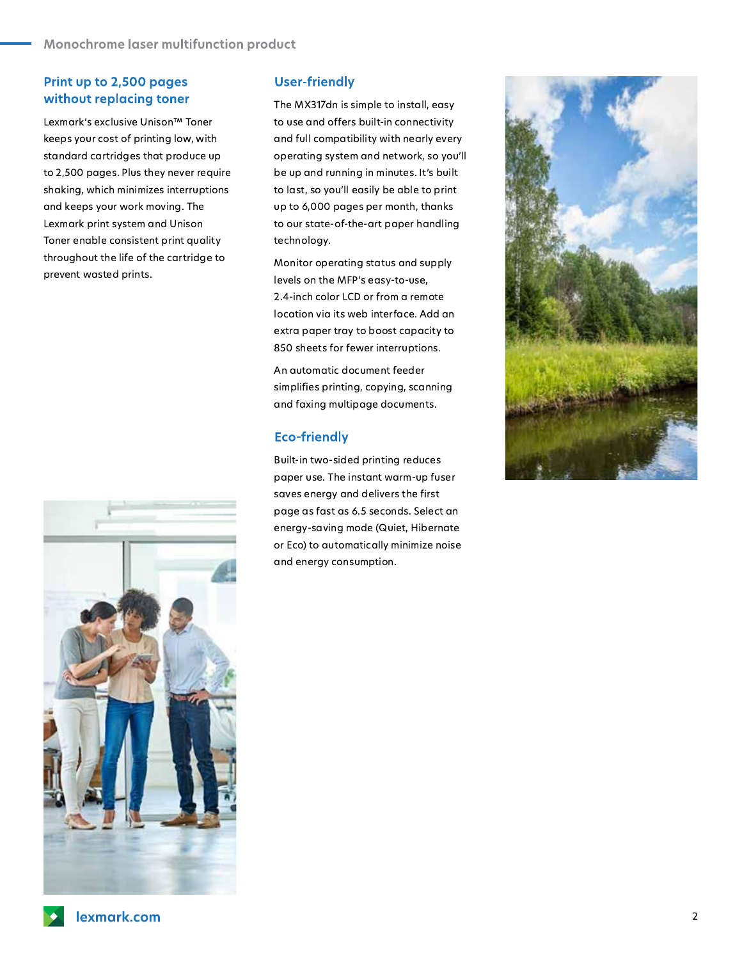## Print up to 2,500 pages without replacing toner

Lexmark's exclusive Unison™ Toner keeps your cost of printing low, with standard cartridges that produce up to 2,500 pages. Plus they never require shaking, which minimizes interruptions and keeps your work moving. The Lexmark print system and Unison Toner enable consistent print quality throughout the life of the cartridge to prevent wasted prints.



#### **User-friendly**

The MX317dn is simple to install, easy to use and offers built-in connectivity and full compatibility with nearly every operating system and network, so you'll be up and running in minutes. It's built to last, so you'll easily be able to print up to 6,000 pages per month, thanks to our state-of-the-art paper handling technology.

Monitor operating status and supply levels on the MFP's easy-to-use, 2.4-inch color LCD or from a remote location via its web interface. Add an extra paper tray to boost capacity to 850 sheets for fewer interruptions.

An automatic document feeder simplifies printing, copying, scanning and faxing multipage documents.

### **Eco-friendly**

Built-in two-sided printing reduces paper use. The instant warm-up fuser saves energy and delivers the first page as fast as 6.5 seconds. Select an energy-saving mode (Quiet, Hibernate or Eco) to automatically minimize noise and energy consumption.

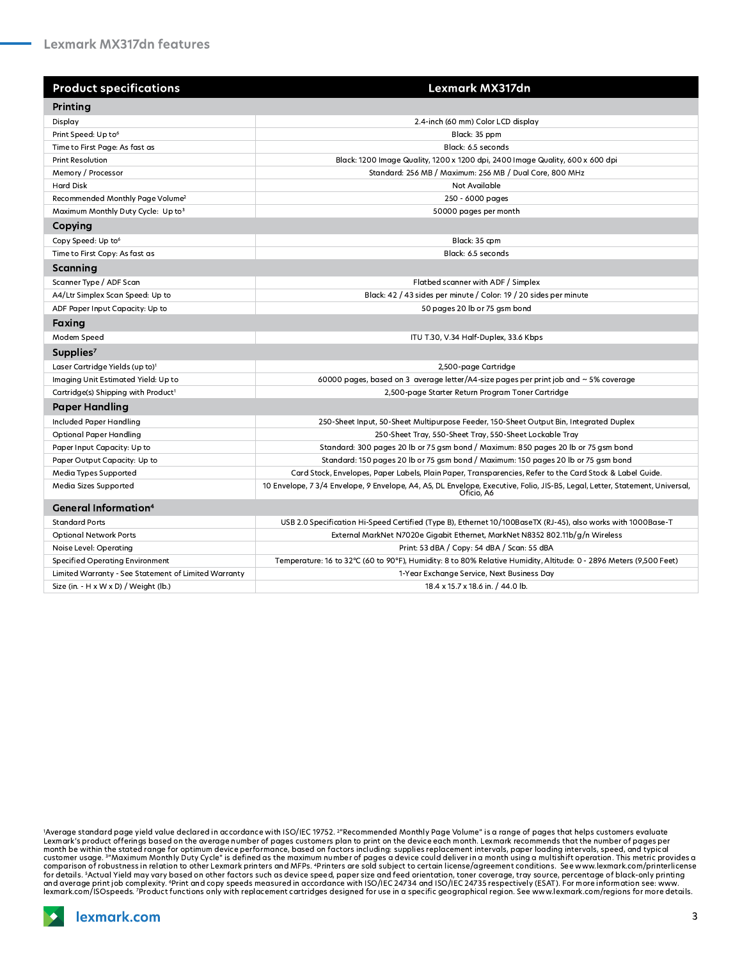| <b>Product specifications</b>                        | Lexmark MX317dn                                                                                                                            |
|------------------------------------------------------|--------------------------------------------------------------------------------------------------------------------------------------------|
| Printing                                             |                                                                                                                                            |
| Display                                              | 2.4-inch (60 mm) Color LCD display                                                                                                         |
| Print Speed: Up to <sup>6</sup>                      | Black: 35 ppm                                                                                                                              |
| Time to First Page: As fast as                       | Black: 6.5 seconds                                                                                                                         |
| Print Resolution                                     | Black: 1200 Image Quality, 1200 x 1200 dpi, 2400 Image Quality, 600 x 600 dpi                                                              |
| Memory / Processor                                   | Standard: 256 MB / Maximum: 256 MB / Dual Core, 800 MHz                                                                                    |
| <b>Hard Disk</b>                                     | Not Available                                                                                                                              |
| Recommended Monthly Page Volume <sup>2</sup>         | 250 - 6000 pages                                                                                                                           |
| Maximum Monthly Duty Cycle: Up to3                   | 50000 pages per month                                                                                                                      |
| Copying                                              |                                                                                                                                            |
| Copy Speed: Up to <sup>6</sup>                       | Black: 35 cpm                                                                                                                              |
| Time to First Copy: As fast as                       | Black: 6.5 seconds                                                                                                                         |
| Scanning                                             |                                                                                                                                            |
| Scanner Type / ADF Scan                              | Flatbed scanner with ADF / Simplex                                                                                                         |
| A4/Ltr Simplex Scan Speed: Up to                     | Black: 42 / 43 sides per minute / Color: 19 / 20 sides per minute                                                                          |
| ADF Paper Input Capacity: Up to                      | 50 pages 20 lb or 75 gsm bond                                                                                                              |
| Faxing                                               |                                                                                                                                            |
| Modem Speed                                          | ITU T.30, V.34 Half-Duplex, 33.6 Kbps                                                                                                      |
| Supplies <sup>7</sup>                                |                                                                                                                                            |
| Laser Cartridge Yields (up to) <sup>1</sup>          | 2,500-page Cartridge                                                                                                                       |
| Imaging Unit Estimated Yield: Up to                  | 60000 pages, based on 3 average letter/A4-size pages per print job and $\sim$ 5% coverage                                                  |
| Cartridge(s) Shipping with Product <sup>1</sup>      | 2,500-page Starter Return Program Toner Cartridge                                                                                          |
| <b>Paper Handling</b>                                |                                                                                                                                            |
| <b>Included Paper Handling</b>                       | 250-Sheet Input, 50-Sheet Multipurpose Feeder, 150-Sheet Output Bin, Integrated Duplex                                                     |
| <b>Optional Paper Handling</b>                       | 250-Sheet Tray, 550-Sheet Tray, 550-Sheet Lockable Tray                                                                                    |
| Paper Input Capacity: Up to                          | Standard: 300 pages 20 lb or 75 gsm bond / Maximum: 850 pages 20 lb or 75 gsm bond                                                         |
| Paper Output Capacity: Up to                         | Standard: 150 pages 20 lb or 75 gsm bond / Maximum: 150 pages 20 lb or 75 gsm bond                                                         |
| Media Types Supported                                | Card Stock, Envelopes, Paper Labels, Plain Paper, Transparencies, Refer to the Card Stock & Label Guide.                                   |
| Media Sizes Supported                                | 10 Envelope, 7 3/4 Envelope, 9 Envelope, A4, A5, DL Envelope, Executive, Folio, JIS-B5, Legal, Letter, Statement, Universal,<br>Oficio. A6 |
| <b>General Information</b> <sup>4</sup>              |                                                                                                                                            |
| <b>Standard Ports</b>                                | USB 2.0 Specification Hi-Speed Certified (Type B), Ethernet 10/100BaseTX (RJ-45), also works with 1000Base-T                               |
| <b>Optional Network Ports</b>                        | External MarkNet N7020e Gigabit Ethernet, MarkNet N8352 802.11b/g/n Wireless                                                               |
| Noise Level: Operating                               | Print: 53 dBA / Copy: 54 dBA / Scan: 55 dBA                                                                                                |
| <b>Specified Operating Environment</b>               | Temperature: 16 to 32°C (60 to 90°F), Humidity: 8 to 80% Relative Humidity, Altitude: 0 - 2896 Meters (9,500 Feet)                         |
| Limited Warranty - See Statement of Limited Warranty | 1-Year Exchange Service, Next Business Day                                                                                                 |
| Size (in. - H x W x D) / Weight (lb.)                | 18.4 x 15.7 x 18.6 in. / 44.0 lb.                                                                                                          |

"Average standard page yield value declared in accordance with ISO/IEC 19752. ""Recommended Monthly Page Volume" is a range of pages that helps customers evaluate<br>Lexmark's product offerings based on the average number of